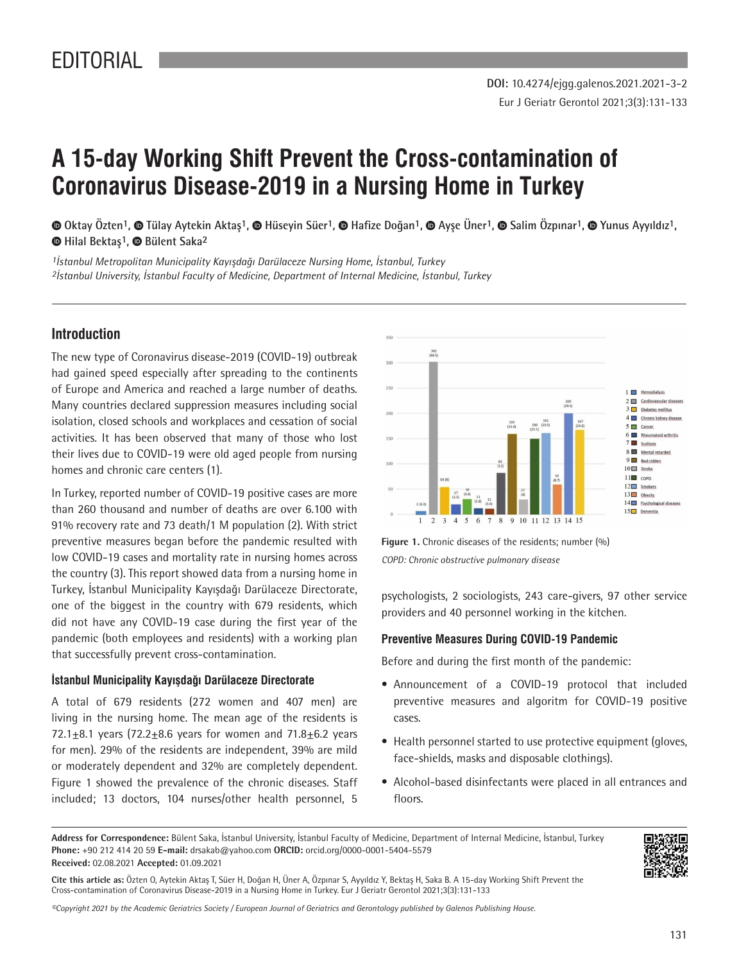# **A 15-day Working Shift Prevent the Cross-contamination of Coronavirus Disease-2019 in a Nursing Home in Turkey**

©Oktay Özten<sup>1</sup>, © Tülay Aytekin Aktaş<sup>1</sup>, © Hüseyin Süer<sup>1</sup>, © Hafize Doğan<sup>1</sup>, © Ayse Üner<sup>1</sup>, © Salim Özpınar<sup>1</sup>, © Yunus Ayyıldız<sup>1</sup>, **Hilal Bektaş1,Bülent Saka2**

*1İstanbul Metropolitan Municipality Kayışdağı Darülaceze Nursing Home, İstanbul, Turkey 2İstanbul University, İstanbul Faculty of Medicine, Department of Internal Medicine, İstanbul, Turkey*

# **Introduction**

The new type of Coronavirus disease-2019 (COVID-19) outbreak had gained speed especially after spreading to the continents of Europe and America and reached a large number of deaths. Many countries declared suppression measures including social isolation, closed schools and workplaces and cessation of social activities. It has been observed that many of those who lost their lives due to COVID-19 were old aged people from nursing homes and chronic care centers (1).

In Turkey, reported number of COVID-19 positive cases are more than 260 thousand and number of deaths are over 6.100 with 91% recovery rate and 73 death/1 M population (2). With strict preventive measures began before the pandemic resulted with low COVID-19 cases and mortality rate in nursing homes across the country (3). This report showed data from a nursing home in Turkey, İstanbul Municipality Kayışdağı Darülaceze Directorate, one of the biggest in the country with 679 residents, which did not have any COVID-19 case during the first year of the pandemic (both employees and residents) with a working plan that successfully prevent cross-contamination.

#### **İstanbul Municipality Kayışdağı Darülaceze Directorate**

A total of 679 residents (272 women and 407 men) are living in the nursing home. The mean age of the residents is 72.1 $\pm$ 8.1 years (72.2 $\pm$ 8.6 years for women and 71.8 $\pm$ 6.2 years for men). 29% of the residents are independent, 39% are mild or moderately dependent and 32% are completely dependent. Figure 1 showed the prevalence of the chronic diseases. Staff included; 13 doctors, 104 nurses/other health personnel, 5



**Figure 1.** Chronic diseases of the residents; number (%) *COPD: Chronic obstructive pulmonary disease*

psychologists, 2 sociologists, 243 care-givers, 97 other service providers and 40 personnel working in the kitchen.

#### **Preventive Measures During COVID-19 Pandemic**

Before and during the first month of the pandemic:

- Announcement of a COVID-19 protocol that included preventive measures and algoritm for COVID-19 positive cases.
- Health personnel started to use protective equipment (gloves, face-shields, masks and disposable clothings).
- Alcohol-based disinfectants were placed in all entrances and floors.

**Address for Correspondence:** Bülent Saka, İstanbul University, İstanbul Faculty of Medicine, Department of Internal Medicine, İstanbul, Turkey **Phone:** +90 212 414 20 59 **E-mail:** drsakab@yahoo.com **ORCID:** orcid.org/0000-0001-5404-5579 **Received:** 02.08.2021 **Accepted:** 01.09.2021



**Cite this article as:** Özten O, Aytekin Aktaş T, Süer H, Doğan H, Üner A, Özpınar S, Ayyıldız Y, Bektaş H, Saka B. A 15-day Working Shift Prevent the Cross-contamination of Coronavirus Disease-2019 in a Nursing Home in Turkey. Eur J Geriatr Gerontol 2021;3(3):131-133

*©Copyright 2021 by the Academic Geriatrics Society / European Journal of Geriatrics and Gerontology published by Galenos Publishing House.*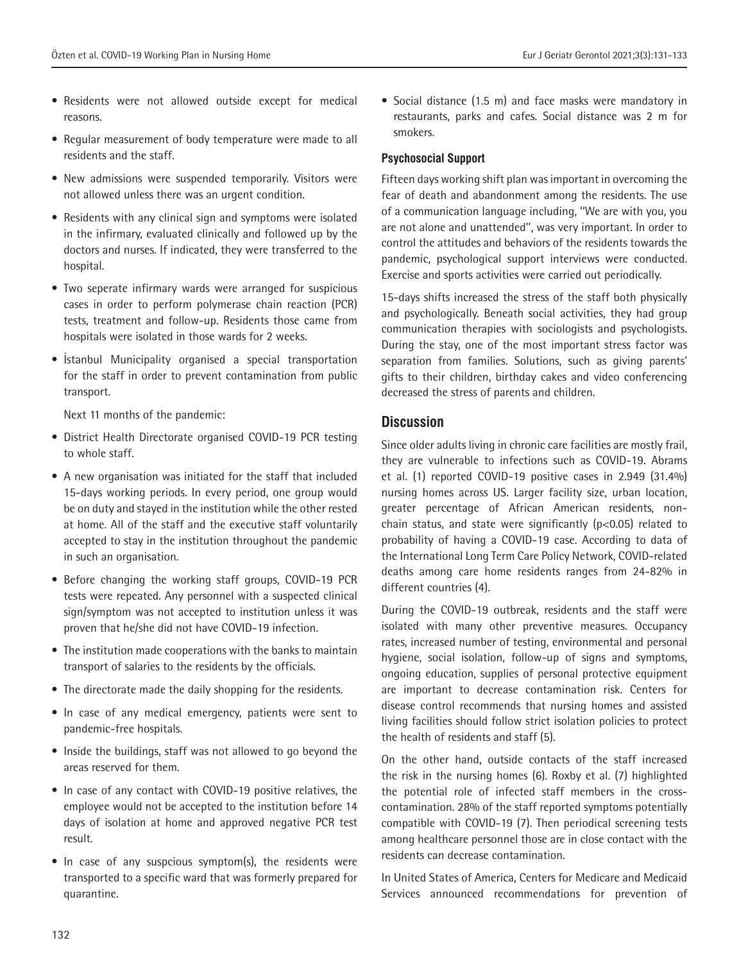- Residents were not allowed outside except for medical reasons.
- Regular measurement of body temperature were made to all residents and the staff.
- New admissions were suspended temporarily. Visitors were not allowed unless there was an urgent condition.
- Residents with any clinical sign and symptoms were isolated in the infirmary, evaluated clinically and followed up by the doctors and nurses. If indicated, they were transferred to the hospital.
- Two seperate infirmary wards were arranged for suspicious cases in order to perform polymerase chain reaction (PCR) tests, treatment and follow-up. Residents those came from hospitals were isolated in those wards for 2 weeks.
- İstanbul Municipality organised a special transportation for the staff in order to prevent contamination from public transport.

Next 11 months of the pandemic:

- District Health Directorate organised COVID-19 PCR testing to whole staff.
- A new organisation was initiated for the staff that included 15-days working periods. In every period, one group would be on duty and stayed in the institution while the other rested at home. All of the staff and the executive staff voluntarily accepted to stay in the institution throughout the pandemic in such an organisation.
- Before changing the working staff groups, COVID-19 PCR tests were repeated. Any personnel with a suspected clinical sign/symptom was not accepted to institution unless it was proven that he/she did not have COVID-19 infection.
- The institution made cooperations with the banks to maintain transport of salaries to the residents by the officials.
- The directorate made the daily shopping for the residents.
- In case of any medical emergency, patients were sent to pandemic-free hospitals.
- Inside the buildings, staff was not allowed to go beyond the areas reserved for them.
- In case of any contact with COVID-19 positive relatives, the employee would not be accepted to the institution before 14 days of isolation at home and approved negative PCR test result.
- In case of any suspcious symptom(s), the residents were transported to a specific ward that was formerly prepared for quarantine.

• Social distance (1.5 m) and face masks were mandatory in restaurants, parks and cafes. Social distance was 2 m for smokers.

## **Psychosocial Support**

Fifteen days working shift plan was important in overcoming the fear of death and abandonment among the residents. The use of a communication language including, ''We are with you, you are not alone and unattended'', was very important. In order to control the attitudes and behaviors of the residents towards the pandemic, psychological support interviews were conducted. Exercise and sports activities were carried out periodically.

15-days shifts increased the stress of the staff both physically and psychologically. Beneath social activities, they had group communication therapies with sociologists and psychologists. During the stay, one of the most important stress factor was separation from families. Solutions, such as giving parents' gifts to their children, birthday cakes and video conferencing decreased the stress of parents and children.

## **Discussion**

Since older adults living in chronic care facilities are mostly frail, they are vulnerable to infections such as COVID-19. Abrams et al. (1) reported COVID-19 positive cases in 2.949 (31.4%) nursing homes across US. Larger facility size, urban location, greater percentage of African American residents, nonchain status, and state were significantly (p<0.05) related to probability of having a COVID-19 case. According to data of the International Long Term Care Policy Network, COVID-related deaths among care home residents ranges from 24-82% in different countries (4).

During the COVID-19 outbreak, residents and the staff were isolated with many other preventive measures. Occupancy rates, increased number of testing, environmental and personal hygiene, social isolation, follow-up of signs and symptoms, ongoing education, supplies of personal protective equipment are important to decrease contamination risk. Centers for disease control recommends that nursing homes and assisted living facilities should follow strict isolation policies to protect the health of residents and staff (5).

On the other hand, outside contacts of the staff increased the risk in the nursing homes (6). Roxby et al. (7) highlighted the potential role of infected staff members in the crosscontamination. 28% of the staff reported symptoms potentially compatible with COVID-19 (7). Then periodical screening tests among healthcare personnel those are in close contact with the residents can decrease contamination.

In United States of America, Centers for Medicare and Medicaid Services announced recommendations for prevention of